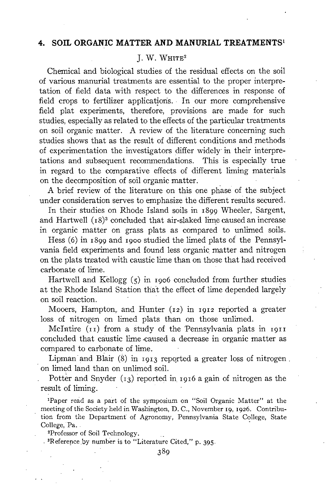## **4. SOIL ORGANIC MATTER AND MANURIAL TREATMENTS ~**

# $I. W. W$ HITE<sup>2</sup>

Chemical and biological studies of the residual effects on the soil of various manurial treatments are essential to the proper interpretation of field data with respect to the differences in response of field crops to fertilizer applications. In our more comprehensive field plat experiments, therefore, provisions are made for such studies, especially as related to the effects of the particular treatments on soil organic matter. A review of the literature concerning such studies shows that as the result of different conditions and methods " of experimentation the investigators differ widely in their interpretations and subsequent recommendations. This is especially true in regard to the comparative effects of different liming materials on the decomposition of soil organic matter.

A brief review of the literature on this one phase of the subject under consideration serves to emphasize the different results secured.

In their studies on Rhode Island soils in 1899 Wheeler, Sargent, and Hartwell  $(18)^3$  concluded that air-slaked lime caused an increase in organic matter on grass plats as compared to unlimed soils.

Hess (6) in 1899 and 19oo studied the limed plats of the Pennsylvania field experiments and found less organic matter and nitrogen on the plats treated with caustic lime than on those that had received carbonate of lime.

Hartwell and Kellogg  $(5)$  in 1906 concluded from further studies at the Rhode Island Station that the effect of lime depended largely on soil reaction.

Mooers, Hampton,. and Hunter (12) in 1912 reported a greater loss of nitrogen on limed plats than on those unlimed.

Mclntire (11) from a study of the Pennsylvania plats in 1911 concluded that caustic lime .caused a decrease in organic matter as compared to carbonate of lime.

Lipman and Blair  $(8)$  in 1913 reported a greater loss of nitrogen. on limed land than on unlimed soil.

Potter and Snyder  $(x_3)$  reported in 1916 a gain of nitrogen as the result of liming.

1Paper read as a part of the symposium on "Soil Organic Matter" at the meeting of the Society held in Washington, D. C., November I9, I926. Contribution from the Department of Agronomy, Pennsylvania State College, State College, Pa..

~Professor of Soil Technology.

 $\cdot$ <sup>3</sup>Reference by number is to "Literature Cited," p. 395.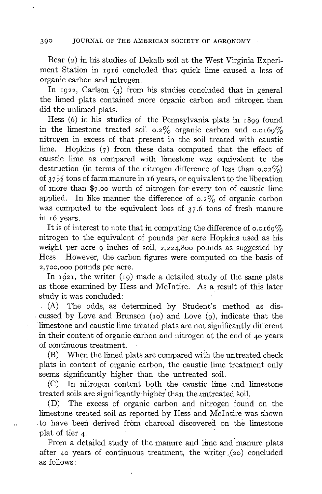Bear (2) in his studies of Dekalb soil at the West Virginia Experiment Station in 1016 concluded that quick lime caused a loss of organic carbon and nitrogen.

In  $1922$ , Carlson (3) from his studies concluded that in general the limed plats contained more organic carbon and nitrogen than did the unlimed plats.

Hess  $(6)$  in his studies of the Pennsylvania plats in  $1899$  found in the limestone treated soil 0.2% organic carbon and 0.0169% nitrogen in excess of that present in the soil treated with caustic lime. Hopkins  $(7)$  from these data computed that the effect of caustic lime as compared with limestone was equivalent to the destruction (in terms of the nitrogen difference of less than  $0.02\%$ ) of  $37\frac{1}{2}$  tons of farm manure in 16 years, or equivalent to the liberation of more than \$7.00 worth of nitrogen for.every ton of caustic lime applied. In like manner the difference of  $0.2\%$  of organic carbon was computed to the equivalent loss of  $37.6$  tons of fresh manure  $in$   $16$  years.

It is of interest to note that in computing the difference of  $0.0169\%$ nitrogen to the equivalent of pounds per acre Hopkins used as his weight per acre  $\varphi$  inches of soil, 2,224,800 pounds as suggested by Hess. However, the carbon figures were computed on the basis of 2,700,000 pounds per acre.

In  $1921$ , the writer (19) made a detailed study of the same plats as those examined by Hess and McIntire. As a result of this later study it was concluded:

(A) The odds, as determined by Student's method as dis cussed by Love and Brunson ( $\overline{10}$ ) and Love ( $\overline{9}$ ), indicate that the 'limestone and caustic lime treated plats are not significantly different in their content of organic carbon and nitrogen at the end of 40 years of continuous treatment.

 $(B)$  When the limed plats are compared with the untreated check plats in content of organic carbon, the caustic lime treatment only seems significantly higher than the untreated soil.

(C) In nitrogen content both the caustic lime and limestone treated soils are significantly higher than the untreated soil.

 $(D)$  The excess of organic carbon and nitrogen found on the limestone treated soil as reported by Hess and McIntire was shown to have been derived from charcoal discovered on the limestone plat of tier 4.

 $\overline{\Omega}$ 

From a detailed study of the manure and lime and manure plats after 40 years of continuous treatment, the writer  $(20)$  concluded as follows: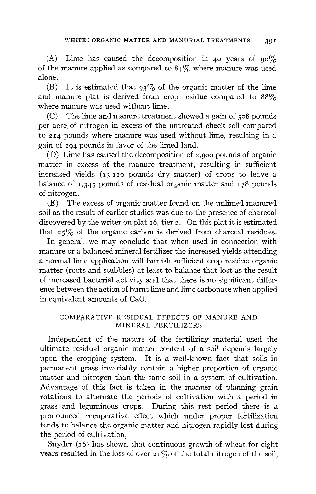(A) Lime has caused the decomposition in 40 years of  $90\%$ of the manure applied as compared to  $84\%$  where manure was used alone.

(B) It is estimated that  $93\%$  of the organic matter of the lime and manure plat is derived from crop residue compared to  $88\%$ where manure was used without lime.

(C) The lime and manure treatment showed a gain of 5o8 pounds per acre. of nitrogen in excess of the untreated check soil compared to  $2I4$  pounds where manure was used without lime, resulting in a gain of 294 pounds in favor of the limed land.

(D) Lime has caused the decomposition of 2,9oo pounds of organic matter in excess of the manure treatment, resulting in sufficient increased yields  $(r_3,r_2)$  pounds dry matter) of crops to leave a balance of  $I,345$  pounds of residual organic matter and  $I78$  pounds of nitrogen.

 $(E)$  The excess of organic matter found on the unlimed manured soil as the result of earlier studies was due to the presence of charcoal discovered by the writer on plat  $16$ , tier 2. On this plat it is estimated that  $25\%$  of the organic carbon is derived from charcoal residues.

In general, we may conclude that when used in connection with manure or a balanced mineral fertilizer the increased yields attending a normal lime application will furnish sufficient crop residue organic matter (roots and stubbles) at least to balance that lost as the result of increased bacterial activity and that there is no significant difference between the action of burnt lime and lime carbonate when applied in equivalent amounts of CaO.

## COMPARATIVE RESIDUAL EFFECTS OF MANURE AND MINERAL FERTILIZERS

Independent of the nature of the fertilizing material used the ultimate residual organic matter content of a soil depends largely upon the cropping system. It is a well-known fact that soils in permanent grass invariably contain a higher proportion of organic matter and nitrogen than the same soil in a system of cultivation. Advantage of this fact is taken in the manner of planning grain rotations to alternate the periods of cultivation with a period in grass and leguminous crops. During this rest period there is a pronounced recuperative effect which under proper fertilization tends to balance the organic matter and nitrogen rapidly lost during the period of cultivation.

Snyder  $(16)$  has shown that continuous growth of wheat for eight years resulted in the loss of over  $21\%$  of the total nitrogen of the soil,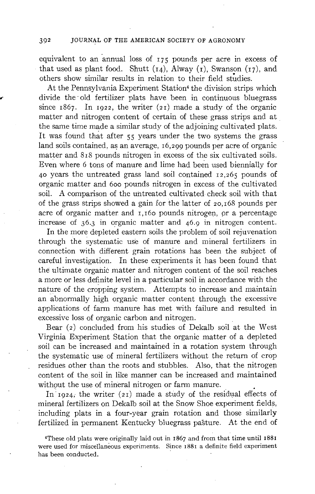equivalent to an annual loss of  $175$  pounds per acre in excess of that used as plant food. Shutt  $(i4)$ , Alway  $(i)$ , Swanson  $(i7)$ , and others show similar results in relation to their field studies.

At the Pennsylvania Experiment Station<sup>4</sup> the division strips which divide the old fertilizer plats have been in continuous bluegrass since  $1867$ . In  $1922$ , the writer (21) made a study of the organic matter and nitrogen content of certain of these grass strips and at the same time made a similar study of the adjoining cultivated plats. It was found that after 55 years under the two systems the grass land soils contained, as an average, 16,299 pounds per acre of organic matter and 818 pounds nitrogen in excess of the six cultivated soils. Even where 6 tons of manure and lime had been used biennially for 4o years the untreated grass land soil contained 12,265 pounds of organic matter and 60o pounds nitrogen in excess of the cultivated soil. A comparison of the untreated cultivated, check soil with that of the grass strips showed a gain for the latter of 2o,168 pounds per acre of organic matter and  $I, I60$  pounds nitrogen, or a percentage increase of 36.3 in organic matter and 46.9 in nitrogen content.

In the more depleted eastern soils the problem of soil rejuvenation through the Systematic use of manure and mineral fertilizers in connection with different grain rotations has been the subject of careful investigation. In these experiments it has been found that the ultimate organic matter and nitrogen content of the soil reaches a more or less definite level in a particular soil in accordance with the nature of the cropping system. Attempts to increase and maintain an abnormally high organic matter content through the excessive applications of farm manure has met with failure and resulted in excessive loss of organic carbon and nitrogen.

Bear (2) concluded from his studies of Dekalb soil at the West Virginia Experiment Station that the organic matter of a depleted soil can be increased and maintained in a rotation system through the systematic use of mineral fertilizers without the return of crop residues other than the roots and stubbles. Also, that the nitrogen content of the soil in like manner can be increased and maintained without the use of mineral nitrogen or farm manure.

In 1924, the writer (21) made a study of the residual effects of mineral fertilizers on Dekalb soil at the Snow Shoe experiment fields, including plats in a four-year grain rotation and those similarly fertilized in permanent Kentucky bluegrass pasture. At the end of

<sup>~</sup>These old plats were originally laid out in ~867 and from that time until 1881 were used for miscellaneous experiments. Since 1881 a definite field experiment has been conducted.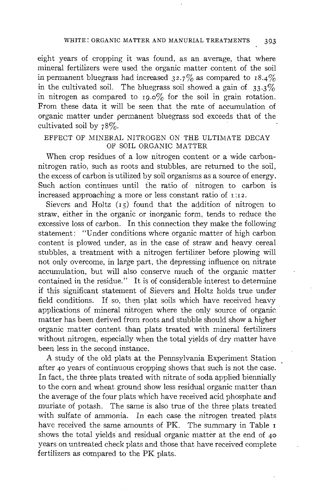### WHITE: ORGANIC MATTER AND MANURIAL TREATMENTS 393

eight years of cropping it was found, as an average, that where mineral fertilizers were used the organic matter content of the soil in permanent bluegrass had increased  $32.7\%$  as compared to  $18.4\%$ in the cultivated soil. The bluegrass soil showed a gain of  $33.3\%$ in nitrogen as compared to  $_{19.0\%}$  for the soil in grain rotation. From these data it will be seen that the rate of accumulation of organic matter under permanent bluegrass sod exceeds that of the cultivated soil by 78%.

## EFFECT OF MINERAL NITROGEN ON THE ULTIMATE DECAY OF SOIL ORGANIC MATTER

When crop residues of a low nitrogen content or a wide carbonnitrogen ratio, such as roots and stubbles, are returned to the soil, the excess of carbon is utilized by soil organisms as a source of energy. Such action continues until the ratio of nitrogen to carbon is increased approaching a more or less constant ratio of  $\overline{1:12}$ .

Sievers and Holtz  $(r<sub>5</sub>)$  found that the addition of nitrogen to straw, either in the organic or inorganic form, tends to reduce the excessive loss of carbon. In this connection they make the following statement: "Under conditions where organic matter of high carbon content is plowed under; as in the case of straw and heavy cereal stubbles, a treatment with a nitrogen fertilizer before plowing will not only overcome, in large part, the depressing influence on nitrate accumulation, but will also conserve much of the organic matter contained in the residue." It is of considerable interest to determine if this significant statement of Sievers and Holtz holds true under field conditions. If so, then plat soils which have received heavy applications of mineral nitrogen where the only source of organic. matter has been derived from roots and stubble should show a higher organic matter content than plats treated with mineral fertilizers without nitrogen, especially when the total yields of dry matter have been less in the second instance.

A study of the old plats at the Pennsylvania Experiment Station after 40 years of continuous cropping shows that such is not the case. In fact, the three plats treated with nitrate of soda applied biennially to the corn and wheat ground show less residual organic matter than the average of the four plats which have received acid phosphate and muriate of potash. The same is also true of the three plats treated with sulfate of ammonia. In each case the nitrogen treated plats have received the same amounts of PK. The summary in Table  $\bf{r}$ shows the total yields and residual organic matter at the end of 4o years on untreated cheek plats and those that have received complete fertilizers as compared to the PK plats.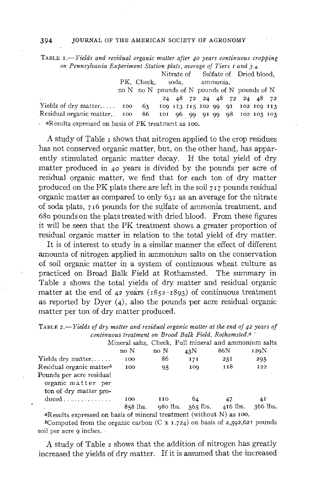TABLE *1.--Yields and residual organic matter after 4 ° years continuous cropping on Pennsylvania Experiment Station plats, average of Tiers r and 3.a*

Nitrate of Sulfate of Dried blood, PK, Check, soda, ammonia, no N no N pounds of N pounds of N pounds of N ~4 48 72 24 48 72 24 48 72 Yields of dry matter .....  $100$   $63$   $109$   $113$   $115$   $102$   $99$   $91$   $102$   $103$   $103$ <br>Residual organic matter ...  $100$   $86$   $101$   $96$   $99$   $91$   $99$   $98$   $102$   $103$   $103$ Residual organic matter.. Ioo 86 Ioi 96 99 9I 99 98 Io2 Io 3 Io3 aResults expressed on basis of PK treatment as Ioo.

A study of Table  $\bar{I}$  shows that nitrogen applied to the crop residues has not conserved organic matter, but, on the other hand, has apparently stimulated organic matter decay. If the total yield of dry matter produced in 40 years is divided by the pounds per acre of residual organic matter, we find that for each ton of dry matter produced on the PK plats there are left in the soil  $717$  pounds residual  $\sigma$ -organic matter as compared to only 631 as an average for the nitrate of soda plats, 716 pounds for the sulfate of ammonia treatment, and 680 pounds on the plats treated with dried blood. From these figures it will be seen that the PK treatment shows a greater proportion of residual organic matter in relation to the total yield of dry matter.

It is of interest to study in a similar manner the effect of different amounts of nitrogen applied in ammonium salts on the conservation of soil organic matter in a system of continuous wheat culture as practiced on Broad Balk Field at Rothamsted. The summary in Table 2 shows the total yields of dry matter and residual organic matter at the end of  $42$  years ( $1852-1893$ ) of continuous treatment as reported by Dyer  $(4)$ , also the pounds per acre residual organic matter per ton of dry matter produced.

TABLE 2.-Yields of dry matter and residual organic matter at the end of 42 years of *continuous treatment on Broad Balk Field, Rothamsted.a '*

|                                                                      |            |      |                                | Mineral salts, Check, Full mineral and ammonium salts |            |
|----------------------------------------------------------------------|------------|------|--------------------------------|-------------------------------------------------------|------------|
|                                                                      | no N       | no N | 43N                            | 86N                                                   | 129N       |
| Yields dry matter                                                    | 100        | 86   | 171                            | 251                                                   | 295        |
| Residual organic matter <sup>b</sup>                                 | 100        | 95   | 109                            | 118                                                   | <b>I22</b> |
| Pounds per acre residual                                             |            |      |                                |                                                       |            |
| organic matter per                                                   |            |      |                                |                                                       |            |
| ton of dry matter pro-                                               |            |      |                                |                                                       |            |
| $duced \dots \dots \dots \dots$                                      | 100        | 110  | 64                             | 47                                                    | 4I.        |
|                                                                      | $858$ lbs. |      | 980 lbs. $565$ lbs. $416$ lbs. |                                                       | $366$ lbs. |
| «Results expressed on basis of mineral treatment (without N) as 100. |            |      |                                |                                                       |            |

bComputed from the organic carbon (C x 1.724) on basis of 2,592,621 pounds soil per acre 9 inches.

A study of Table 2 shows that the addition of nitrogen has greatly increased the yields of dry matter. If it is assumed that the increased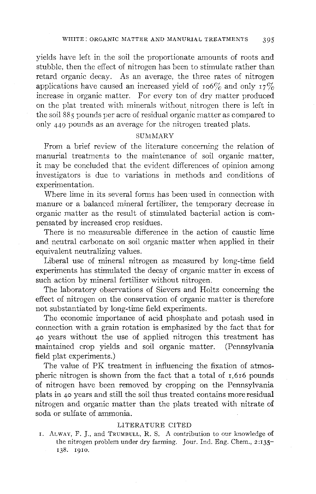yields have left in the soil the proportionate amounts of roots and stubble, then the effect of nitrogen has been to stimulate rather than retard organic decay. As an average, the three rates of nitrogen applications have caused an increased yield of  $10^{6}$  and only  $17\%$ increase in organic matter. For every ton of dry matter produced on the plat treated with minerals without nitrogen there is left in the soil 885 pounds per acre of residual organic matter as compared to only 449 pounds as an average for the nitrogen treated plats.

## **SUMMARY**

From a brief review of the literature concerning the relation of manurial treatments to the maintenance of soil organic matter, it may be concluded that the evident differences of opinion among investigators is due to variations in methods and conditions of experimentation.

Where lime in its several forms has been'used in connection with manure or a balanced mineral fertilizer, the temporary decrease in organic matter as the result of stimulated bacterial action is compensated by increased crop residues.

There is no measureable difference in the action of caustic lime and neutral carbonate on soil organic matter when applied in their equivalent neutralizing values.

Liberal use of mineral nitrogen as measured by long-time field experiments has stimulated the decay of organic matter in excess of such action by mineral fertilizer without nitrogen.

The laboratory observations of Sievers and Holtz concerning the effect of nitrogen on the conservation of organic matter is therefore not substantiated by long-time field experiments.

The economic importance of acid phosphate and potash used in connection with a grain rotation is emphasized by the fact that for 40 years without the use of applied nitrogen this treatment has maintained crop yields and soil organic matter. (Pennsylvania field plat experiments.)

The value of PK treatment in influencing the fixation of atmospheric nitrogen is shown from the fact that a total of 1,616 pounds of nitrogen have been removed by cropping on the Pennsylvania plats in 40 years and still the soil thus treated contains more residual nitrogen and organic matter than the plats treated with nitrate of soda or sulfate of ammonia.

## LITERATURE CITED

I. ALWAY, F. J., and TRUMBULL, R. S. A contribution to our knowledge of the nitrogen problem under dry farming. Jour. Ind. Eng. Chem., 2:135-138. 1910.